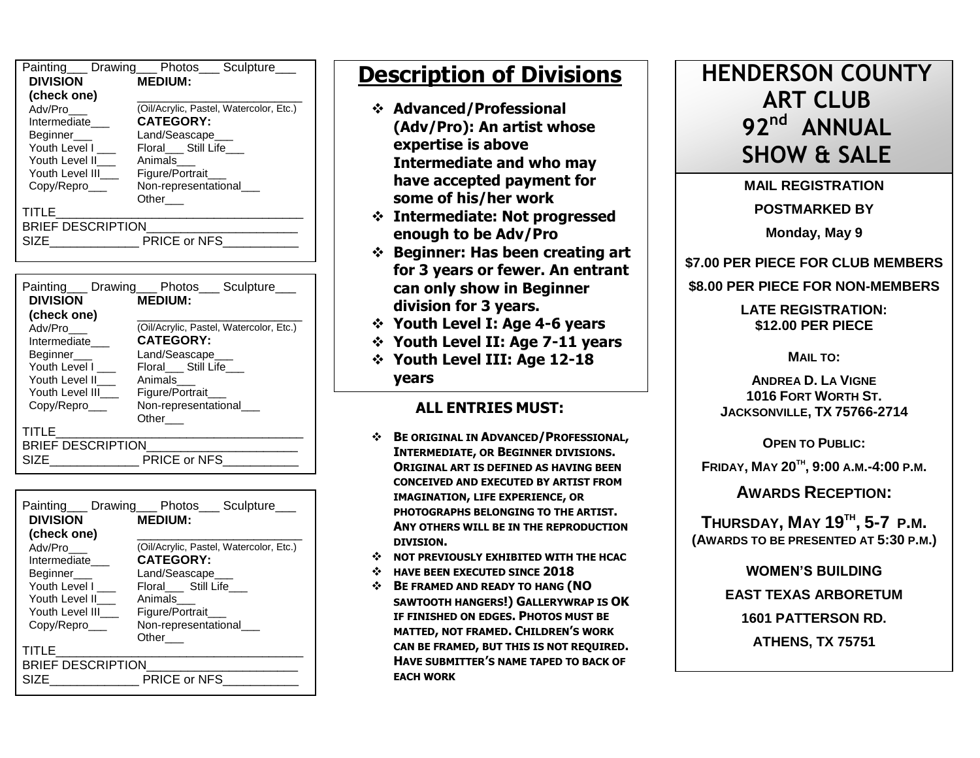| Painting___ Drawing___ Photos___ | Sculpture                               |  |  |  |  |
|----------------------------------|-----------------------------------------|--|--|--|--|
| <b>DIVISION</b>                  | <b>MEDIUM:</b>                          |  |  |  |  |
| (check one)                      |                                         |  |  |  |  |
| Adv/Pro                          | (Oil/Acrylic, Pastel, Watercolor, Etc.) |  |  |  |  |
| Intermediate                     | <b>CATEGORY:</b>                        |  |  |  |  |
| Beginner___                      | Land/Seascape___                        |  |  |  |  |
| Youth Level L                    | Floral Still Life                       |  |  |  |  |
| Youth Level II                   | Animals                                 |  |  |  |  |
| Youth Level III                  | Figure/Portrait_                        |  |  |  |  |
| Copy/Repro                       | Non-representational_                   |  |  |  |  |
|                                  | Other                                   |  |  |  |  |
| TITLE                            |                                         |  |  |  |  |
| <b>BRIEF DESCRIPTION</b>         |                                         |  |  |  |  |
| SIZE                             | PRICE or NFS                            |  |  |  |  |
|                                  |                                         |  |  |  |  |

| <b>DIVISION</b>          |  | Painting Drawing Photos Sculpture<br><b>MEDIUM:</b> |  |  |  |
|--------------------------|--|-----------------------------------------------------|--|--|--|
| (check one)              |  |                                                     |  |  |  |
| Adv/Pro                  |  | (Oil/Acrylic, Pastel, Watercolor, Etc.)             |  |  |  |
| Intermediate             |  | <b>CATEGORY:</b>                                    |  |  |  |
| Beginner___              |  | Land/Seascape                                       |  |  |  |
| Youth Level I            |  | Floral Still Life                                   |  |  |  |
| Youth Level II           |  | Animals                                             |  |  |  |
| Youth Level III          |  | Figure/Portrait                                     |  |  |  |
| Copy/Repro               |  | Non-representational                                |  |  |  |
|                          |  | Other                                               |  |  |  |
| <b>TITLE</b>             |  |                                                     |  |  |  |
| <b>BRIEF DESCRIPTION</b> |  |                                                     |  |  |  |
| SIZF                     |  | PRICE or NFS                                        |  |  |  |
|                          |  |                                                     |  |  |  |

| <b>DIVISION</b>   | Painting Drawing Photos Culpture<br><b>MEDIUM:</b> |  |  |  |
|-------------------|----------------------------------------------------|--|--|--|
| (check one)       |                                                    |  |  |  |
| Adv/Pro           | (Oil/Acrylic, Pastel, Watercolor, Etc.)            |  |  |  |
| Intermediate      | <b>CATEGORY:</b>                                   |  |  |  |
| Beginner          | Land/Seascape                                      |  |  |  |
| Youth Level I     | Floral Still Life                                  |  |  |  |
| Youth Level II    | Animals                                            |  |  |  |
| Youth Level III   | Figure/Portrait                                    |  |  |  |
| Copy/Repro        | Non-representational___                            |  |  |  |
|                   | Other                                              |  |  |  |
| TITLE             |                                                    |  |  |  |
| BRIEF DESCRIPTION |                                                    |  |  |  |
| SIZE              | PRICE or NFS                                       |  |  |  |

# **Description of Divisions**

- **Advanced/Professional (Adv/Pro): An artist whose expertise is above Intermediate and who may have accepted payment for some of his/her work**
- **Intermediate: Not progressed enough to be Adv/Pro**
- **Beginner: Has been creating art for 3 years or fewer. An entrant can only show in Beginner division for 3 years.**
- **Youth Level I: Age 4-6 years**
- **Youth Level II: Age 7-11 years**
- **Youth Level III: Age 12-18 years**

## **ALL ENTRIES MUST:**

- **BE ORIGINAL IN ADVANCED/PROFESSIONAL, INTERMEDIATE, OR BEGINNER DIVISIONS. ORIGINAL ART IS DEFINED AS HAVING BEEN CONCEIVED AND EXECUTED BY ARTIST FROM IMAGINATION, LIFE EXPERIENCE, OR PHOTOGRAPHS BELONGING TO THE ARTIST. ANY OTHERS WILL BE IN THE REPRODUCTION DIVISION.**
- $\div$  **NOT PREVIOUSLY EXHIBITED WITH THE HCAC**
- **HAVE BEEN EXECUTED SINCE 2018**
- **BE FRAMED AND READY TO HANG (NO SAWTOOTH HANGERS!) GALLERYWRAP IS OK IF FINISHED ON EDGES. PHOTOS MUST BE MATTED, NOT FRAMED. CHILDREN'S WORK CAN BE FRAMED, BUT THIS IS NOT REQUIRED. HAVE SUBMITTER'S NAME TAPED TO BACK OF EACH WORK**

# **HENDERSON COUNTY ART CLUB 92 nd ANNUAL SHOW & SALE**

**MAIL REGISTRATION POSTMARKED BY Monday, May 9**

**\$7.00 PER PIECE FOR CLUB MEMBERS**

**\$8.00 PER PIECE FOR NON-MEMBERS**

**LATE REGISTRATION: \$12.00 PER PIECE**

**MAIL TO:**

**ANDREA D. LA VIGNE 1016 FORT WORTH ST. JACKSONVILLE, TX 75766-2714**

**OPEN TO PUBLIC:**

**FRIDAY, MAY 20TH , 9:00 A.M.-4:00 P.M.**

**AWARDS RECEPTION:**

**THURSDAY, MAY 19TH , 5-7 P.M. (AWARDS TO BE PRESENTED AT 5:30 P.M.)**

> **WOMEN'S BUILDING EAST TEXAS ARBORETUM 1601 PATTERSON RD. ATHENS, TX 75751**